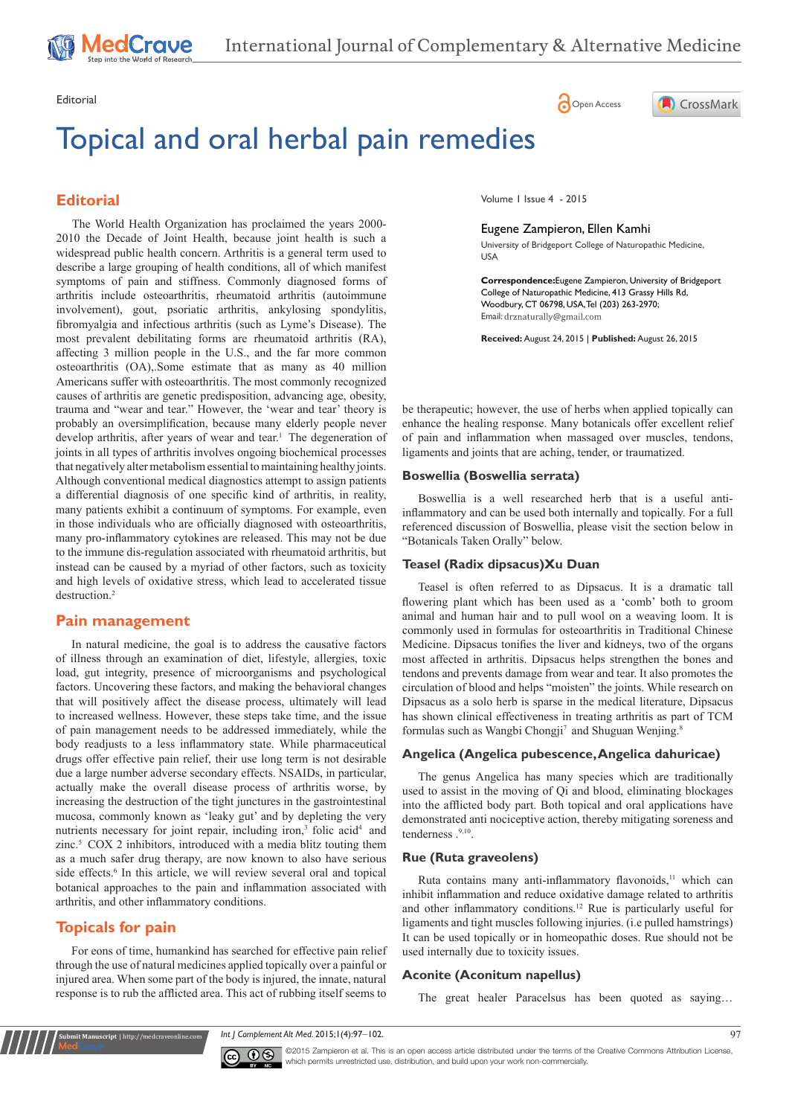# Topical and oral herbal pain remedies

# **Editorial**

trauma and "wear and tear." However, the 'wear and tear' theory is probably an oversimplification, because many elderly people never develop arthritis, after years of wear and tear.<sup>1</sup> The degeneration of joints in all types of arthritis involves ongoing biochemical processes that negatively alter metabolism essential to maintaining healthy joints. Although conventional medical diagnostics attempt to assign patients a differential diagnosis of one specific kind of arthritis, in reality, many patients exhibit a continuum of symptoms. For example, even in those individuals who are officially diagnosed with osteoarthritis, many pro-inflammatory cytokines are released. This may not be due to the immune dis-regulation associated with rheumatoid arthritis, but instead can be caused by a myriad of other factors, such as toxicity and high levels of oxidative stress, which lead to accelerated tissue destruction.<sup>2</sup> The World Health Organization has proclaimed the years 2000- 2010 the Decade of Joint Health, because joint health is such a widespread public health concern. Arthritis is a general term used to describe a large grouping of health conditions, all of which manifest symptoms of pain and stiffness. Commonly diagnosed forms of arthritis include osteoarthritis, rheumatoid arthritis (autoimmune involvement), gout, psoriatic arthritis, ankylosing spondylitis, fibromyalgia and infectious arthritis (such as Lyme's Disease). The most prevalent debilitating forms are rheumatoid arthritis (RA), affecting 3 million people in the U.S., and the far more common osteoarthritis (OA),.Some estimate that as many as 40 million Americans suffer with osteoarthritis. The most commonly recognized causes of arthritis are genetic predisposition, advancing age, obesity,

## **Pain management**

In natural medicine, the goal is to address the causative factors of illness through an examination of diet, lifestyle, allergies, toxic load, gut integrity, presence of microorganisms and psychological factors. Uncovering these factors, and making the behavioral changes that will positively affect the disease process, ultimately will lead to increased wellness. However, these steps take time, and the issue of pain management needs to be addressed immediately, while the body readjusts to a less inflammatory state. While pharmaceutical drugs offer effective pain relief, their use long term is not desirable due a large number adverse secondary effects. NSAIDs, in particular, actually make the overall disease process of arthritis worse, by increasing the destruction of the tight junctures in the gastrointestinal mucosa, commonly known as 'leaky gut' and by depleting the very nutrients necessary for joint repair, including iron,<sup>3</sup> folic acid<sup>4</sup> and zinc. $5 \text{COX}$  2 inhibitors, introduced with a media blitz touting them as a much safer drug therapy, are now known to also have serious side effects.<sup>6</sup> In this article, we will review several oral and topical botanical approaches to the pain and inflammation associated with arthritis, and other inflammatory conditions.

# **Topicals for pain**

**Krit Manuscript** | http://medcraveonline.c

For eons of time, humankind has searched for effective pain relief through the use of natural medicines applied topically over a painful or injured area. When some part of the body is injured, the innate, natural response is to rub the afflicted area. This act of rubbing itself seems to

Editorial Communication of the Communication of the Communication of the Communication of Communication of Communication of Communication of Communication of Communication of Communication of Communication of Communication



Volume 1 Issue 4 - 2015

#### Eugene Zampieron, Ellen Kamhi

University of Bridgeport College of Naturopathic Medicine, USA

**Correspondence:**Eugene Zampieron, University of Bridgeport College of Naturopathic Medicine, 413 Grassy Hills Rd, Woodbury, CT 06798, USA, Tel (203) 263-2970; Email: drznaturally@gmail.com

**Received:** August 24, 2015 | **Published:** August 26, 2015

be therapeutic; however, the use of herbs when applied topically can enhance the healing response. Many botanicals offer excellent relief of pain and inflammation when massaged over muscles, tendons, ligaments and joints that are aching, tender, or traumatized.

## **Boswellia (Boswellia serrata)**

Boswellia is a well researched herb that is a useful antiinflammatory and can be used both internally and topically. For a full referenced discussion of Boswellia, please visit the section below in "Botanicals Taken Orally" below.

#### **Teasel (Radix dipsacus)Xu Duan**

Teasel is often referred to as Dipsacus. It is a dramatic tall flowering plant which has been used as a 'comb' both to groom animal and human hair and to pull wool on a weaving loom. It is commonly used in formulas for osteoarthritis in Traditional Chinese Medicine. Dipsacus tonifies the liver and kidneys, two of the organs most affected in arthritis. Dipsacus helps strengthen the bones and tendons and prevents damage from wear and tear. It also promotes the circulation of blood and helps "moisten" the joints. While research on Dipsacus as a solo herb is sparse in the medical literature, Dipsacus has shown clinical effectiveness in treating arthritis as part of TCM formulas such as Wangbi Chongji<sup>7</sup> and Shuguan Wenjing.<sup>8</sup>

#### **Angelica (Angelica pubescence, Angelica dahuricae)**

The genus Angelica has many species which are traditionally used to assist in the moving of Qi and blood, eliminating blockages into the afflicted body part. Both topical and oral applications have demonstrated anti nociceptive action, thereby mitigating soreness and tenderness  $.^{9,10}$ .

#### **Rue (Ruta graveolens)**

Ruta contains many anti-inflammatory flavonoids,<sup>11</sup> which can inhibit inflammation and reduce oxidative damage related to arthritis and other inflammatory conditions.<sup>12</sup> Rue is particularly useful for ligaments and tight muscles following injuries. (i.e pulled hamstrings) It can be used topically or in homeopathic doses. Rue should not be used internally due to toxicity issues.

#### **Aconite (Aconitum napellus)**

The great healer Paracelsus has been quoted as saying…

*Int J Complement Alt Med*. 2015;1(4):97‒102. 97



©2015 Zampieron et al. This is an open access article distributed under the terms of the [Creative Commons Attribution License](https://creativecommons.org/licenses/by-nc/4.0/), which permits unrestricted use, distribution, and build upon your work non-commercially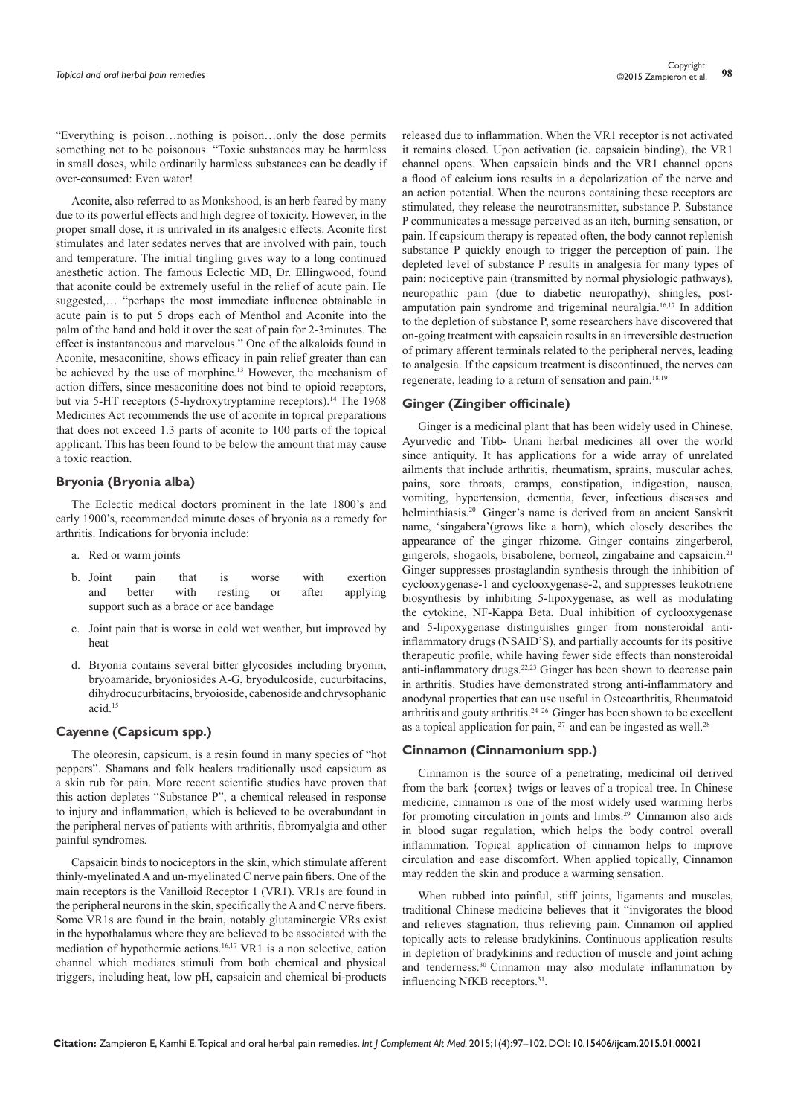Aconite, also referred to as Monkshood, is an herb feared by many due to its powerful effects and high degree of toxicity. However, in the proper small dose, it is unrivaled in its analgesic effects. Aconite first stimulates and later sedates nerves that are involved with pain, touch and temperature. The initial tingling gives way to a long continued anesthetic action. The famous Eclectic MD, Dr. Ellingwood, found that aconite could be extremely useful in the relief of acute pain. He suggested,… "perhaps the most immediate influence obtainable in acute pain is to put 5 drops each of Menthol and Aconite into the palm of the hand and hold it over the seat of pain for 2-3minutes. The effect is instantaneous and marvelous." One of the alkaloids found in Aconite, mesaconitine, shows efficacy in pain relief greater than can be achieved by the use of morphine.<sup>13</sup> However, the mechanism of action differs, since mesaconitine does not bind to opioid receptors, but via 5-HT receptors (5-hydroxytryptamine receptors).<sup>14</sup> The 1968 Medicines Act recommends the use of aconite in topical preparations that does not exceed 1.3 parts of aconite to 100 parts of the topical applicant. This has been found to be below the amount that may cause a toxic reaction.

#### **Bryonia (Bryonia alba)**

The Eclectic medical doctors prominent in the late 1800's and early 1900's, recommended minute doses of bryonia as a remedy for arthritis. Indications for bryonia include:

- a. Red or warm joints
- b. Joint pain that is worse with exertion and better with resting or after applying support such as a brace or ace bandage
- c. Joint pain that is worse in cold wet weather, but improved by heat
- d. Bryonia contains several bitter glycosides including bryonin, bryoamaride, bryoniosides A-G, bryodulcoside, cucurbitacins, dihydrocucurbitacins, bryoioside, cabenoside and chrysophanic acid.<sup>15</sup>

## **Cayenne (Capsicum spp.)**

The oleoresin, capsicum, is a resin found in many species of "hot peppers". Shamans and folk healers traditionally used capsicum as a skin rub for pain. More recent scientific studies have proven that this action depletes "Substance P", a chemical released in response to injury and inflammation, which is believed to be overabundant in the peripheral nerves of patients with arthritis, fibromyalgia and other painful syndromes.

Capsaicin binds to nociceptors in the skin, which stimulate afferent thinly-myelinated A and un-myelinated C nerve pain fibers. One of the main receptors is the Vanilloid Receptor 1 (VR1). VR1s are found in the peripheral neurons in the skin, specifically the A and C nerve fibers. Some VR1s are found in the brain, notably glutaminergic VRs exist in the hypothalamus where they are believed to be associated with the mediation of hypothermic actions.16,17 VR1 is a non selective, cation channel which mediates stimuli from both chemical and physical triggers, including heat, low pH, capsaicin and chemical bi-products

released due to inflammation. When the VR1 receptor is not activated it remains closed. Upon activation (ie. capsaicin binding), the VR1 channel opens. When capsaicin binds and the VR1 channel opens a flood of calcium ions results in a depolarization of the nerve and an action potential. When the neurons containing these receptors are stimulated, they release the neurotransmitter, substance P. Substance P communicates a message perceived as an itch, burning sensation, or pain. If capsicum therapy is repeated often, the body cannot replenish substance P quickly enough to trigger the perception of pain. The depleted level of substance P results in analgesia for many types of pain: nociceptive pain (transmitted by normal physiologic pathways), neuropathic pain (due to diabetic neuropathy), shingles, postamputation pain syndrome and trigeminal neuralgia.16,17 In addition to the depletion of substance P, some researchers have discovered that on-going treatment with capsaicin results in an irreversible destruction of primary afferent terminals related to the peripheral nerves, leading to analgesia. If the capsicum treatment is discontinued, the nerves can regenerate, leading to a return of sensation and pain.18,19

#### **Ginger (Zingiber officinale)**

Ginger is a medicinal plant that has been widely used in Chinese, Ayurvedic and Tibb- Unani herbal medicines all over the world since antiquity. It has applications for a wide array of unrelated ailments that include arthritis, rheumatism, sprains, muscular aches, pains, sore throats, cramps, constipation, indigestion, nausea, vomiting, hypertension, dementia, fever, infectious diseases and helminthiasis.<sup>20</sup> Ginger's name is derived from an ancient Sanskrit name, 'singabera'(grows like a horn), which closely describes the appearance of the ginger rhizome. Ginger contains zingerberol, gingerols, shogaols, bisabolene, borneol, zingabaine and capsaicin.<sup>21</sup> Ginger suppresses prostaglandin synthesis through the inhibition of cyclooxygenase-1 and cyclooxygenase-2, and suppresses leukotriene biosynthesis by inhibiting 5-lipoxygenase, as well as modulating the cytokine, NF-Kappa Beta. Dual inhibition of cyclooxygenase and 5-lipoxygenase distinguishes ginger from nonsteroidal antiinflammatory drugs (NSAID'S), and partially accounts for its positive therapeutic profile, while having fewer side effects than nonsteroidal anti-inflammatory drugs.<sup>22,23</sup> Ginger has been shown to decrease pain in arthritis. Studies have demonstrated strong anti-inflammatory and anodynal properties that can use useful in Osteoarthritis, Rheumatoid arthritis and gouty arthritis.24–26 Ginger has been shown to be excellent as a topical application for pain,  $27$  and can be ingested as well.<sup>28</sup>

#### **Cinnamon (Cinnamonium spp.)**

Cinnamon is the source of a penetrating, medicinal oil derived from the bark {cortex} twigs or leaves of a tropical tree. In Chinese medicine, cinnamon is one of the most widely used warming herbs for promoting circulation in joints and limbs.<sup>29</sup> Cinnamon also aids in blood sugar regulation, which helps the body control overall inflammation. Topical application of cinnamon helps to improve circulation and ease discomfort. When applied topically, Cinnamon may redden the skin and produce a warming sensation.

When rubbed into painful, stiff joints, ligaments and muscles, traditional Chinese medicine believes that it "invigorates the blood and relieves stagnation, thus relieving pain. Cinnamon oil applied topically acts to release bradykinins. Continuous application results in depletion of bradykinins and reduction of muscle and joint aching and tenderness.30 Cinnamon may also modulate inflammation by influencing NfKB receptors.31.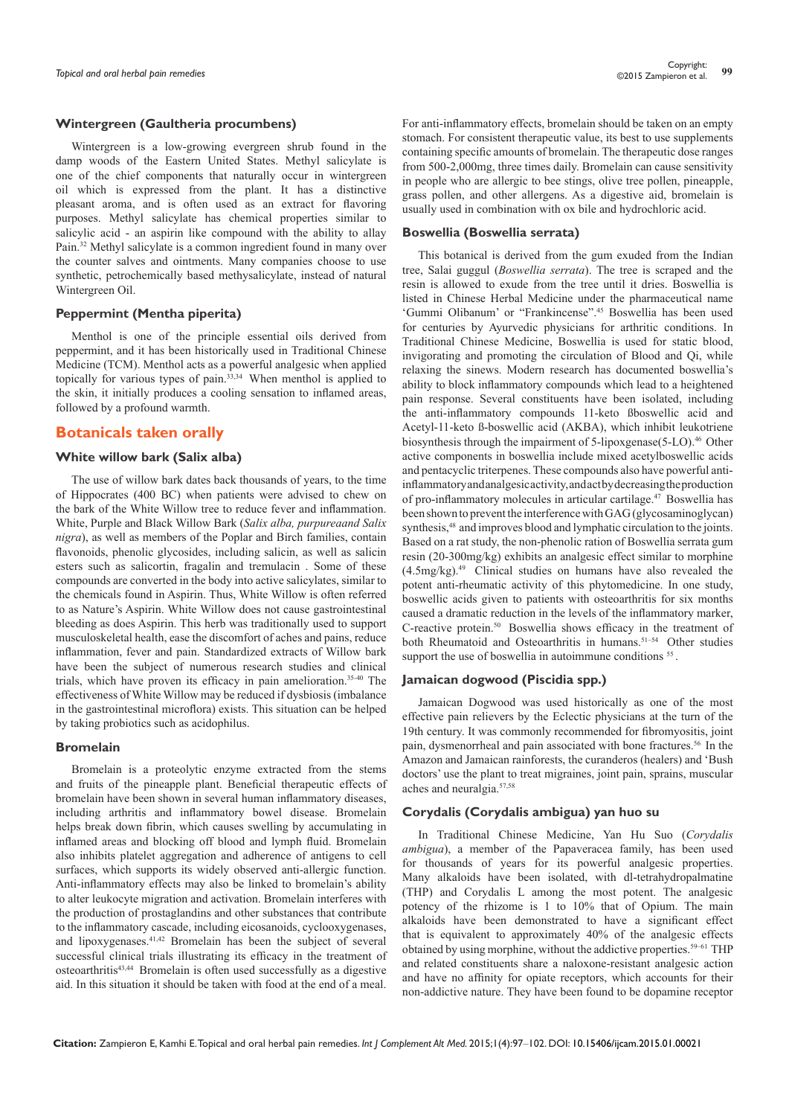#### **Wintergreen (Gaultheria procumbens)**

Wintergreen is a low-growing evergreen shrub found in the damp woods of the Eastern United States. Methyl salicylate is one of the chief components that naturally occur in wintergreen oil which is expressed from the plant. It has a distinctive pleasant aroma, and is often used as an extract for flavoring purposes. Methyl salicylate has chemical properties similar to salicylic acid - an aspirin like compound with the ability to allay Pain.32 Methyl salicylate is a common ingredient found in many over the counter salves and ointments. Many companies choose to use synthetic, petrochemically based methysalicylate, instead of natural Wintergreen Oil.

## **Peppermint (Mentha piperita)**

Menthol is one of the principle essential oils derived from peppermint, and it has been historically used in Traditional Chinese Medicine (TCM). Menthol acts as a powerful analgesic when applied topically for various types of pain. $33,34$  When menthol is applied to the skin, it initially produces a cooling sensation to inflamed areas, followed by a profound warmth.

## **Botanicals taken orally**

## **White willow bark (Salix alba)**

The use of willow bark dates back thousands of years, to the time of Hippocrates (400 BC) when patients were advised to chew on the bark of the White Willow tree to reduce fever and inflammation. White, Purple and Black Willow Bark (*Salix alba, purpureaand Salix nigra*), as well as members of the Poplar and Birch families, contain flavonoids, phenolic glycosides, including salicin, as well as salicin esters such as salicortin, fragalin and tremulacin . Some of these compounds are converted in the body into active salicylates, similar to the chemicals found in Aspirin. Thus, White Willow is often referred to as Nature's Aspirin. White Willow does not cause gastrointestinal bleeding as does Aspirin. This herb was traditionally used to support musculoskeletal health, ease the discomfort of aches and pains, reduce inflammation, fever and pain. Standardized extracts of Willow bark have been the subject of numerous research studies and clinical trials, which have proven its efficacy in pain amelioration.35-40 The effectiveness of White Willow may be reduced if dysbiosis (imbalance in the gastrointestinal microflora) exists. This situation can be helped by taking probiotics such as acidophilus.

#### **Bromelain**

Bromelain is a proteolytic enzyme extracted from the stems and fruits of the pineapple plant. Beneficial therapeutic effects of bromelain have been shown in several human inflammatory diseases, including arthritis and inflammatory bowel disease. Bromelain helps break down fibrin, which causes swelling by accumulating in inflamed areas and blocking off blood and lymph fluid. Bromelain also inhibits platelet aggregation and adherence of antigens to cell surfaces, which supports its widely observed anti-allergic function. Anti-inflammatory effects may also be linked to bromelain's ability to alter leukocyte migration and activation. Bromelain interferes with the production of prostaglandins and other substances that contribute to the inflammatory cascade, including eicosanoids, cyclooxygenases, and lipoxygenases.41,42 Bromelain has been the subject of several successful clinical trials illustrating its efficacy in the treatment of osteoarthritis43,44 Bromelain is often used successfully as a digestive aid. In this situation it should be taken with food at the end of a meal.

For anti-inflammatory effects, bromelain should be taken on an empty stomach. For consistent therapeutic value, its best to use supplements containing specific amounts of bromelain. The therapeutic dose ranges from 500-2,000mg, three times daily. Bromelain can cause sensitivity in people who are allergic to bee stings, olive tree pollen, pineapple, grass pollen, and other allergens. As a digestive aid, bromelain is usually used in combination with ox bile and hydrochloric acid.

#### **Boswellia (Boswellia serrata)**

This botanical is derived from the gum exuded from the Indian tree, Salai guggul (*Boswellia serrata*). The tree is scraped and the resin is allowed to exude from the tree until it dries. Boswellia is listed in Chinese Herbal Medicine under the pharmaceutical name 'Gummi Olibanum' or "Frankincense".45 Boswellia has been used for centuries by Ayurvedic physicians for arthritic conditions. In Traditional Chinese Medicine, Boswellia is used for static blood, invigorating and promoting the circulation of Blood and Qi, while relaxing the sinews. Modern research has documented boswellia's ability to block inflammatory compounds which lead to a heightened pain response. Several constituents have been isolated, including the anti-inflammatory compounds 11-keto ßboswellic acid and Acetyl-11-keto ß-boswellic acid (AKBA), which inhibit leukotriene biosynthesis through the impairment of 5-lipoxgenase(5-LO).<sup>46</sup> Other active components in boswellia include mixed acetylboswellic acids and pentacyclic triterpenes. These compounds also have powerful antiinflammatory and analgesic activity, and act by decreasing the production of pro-inflammatory molecules in articular cartilage.47 Boswellia has been shown to prevent the interference with GAG (glycosaminoglycan) synthesis,<sup>48</sup> and improves blood and lymphatic circulation to the joints. Based on a rat study, the non-phenolic ration of Boswellia serrata gum resin (20-300mg/kg) exhibits an analgesic effect similar to morphine  $(4.5\text{mg/kg})$ .<sup>49</sup> Clinical studies on humans have also revealed the potent anti-rheumatic activity of this phytomedicine. In one study, boswellic acids given to patients with osteoarthritis for six months caused a dramatic reduction in the levels of the inflammatory marker, C-reactive protein. $50$  Boswellia shows efficacy in the treatment of both Rheumatoid and Osteoarthritis in humans.<sup>51-54</sup> Other studies support the use of boswellia in autoimmune conditions <sup>55</sup>.

#### **Jamaican dogwood (Piscidia spp.)**

Jamaican Dogwood was used historically as one of the most effective pain relievers by the Eclectic physicians at the turn of the 19th century. It was commonly recommended for fibromyositis, joint pain, dysmenorrheal and pain associated with bone fractures.<sup>56</sup> In the Amazon and Jamaican rainforests, the curanderos (healers) and 'Bush doctors' use the plant to treat migraines, joint pain, sprains, muscular aches and neuralgia.57,58

#### **Corydalis (Corydalis ambigua) yan huo su**

In Traditional Chinese Medicine, Yan Hu Suo (*Corydalis ambigua*), a member of the Papaveracea family, has been used for thousands of years for its powerful analgesic properties. Many alkaloids have been isolated, with dl-tetrahydropalmatine (THP) and Corydalis L among the most potent. The analgesic potency of the rhizome is 1 to 10% that of Opium. The main alkaloids have been demonstrated to have a significant effect that is equivalent to approximately 40% of the analgesic effects obtained by using morphine, without the addictive properties.59–61 THP and related constituents share a naloxone-resistant analgesic action and have no affinity for opiate receptors, which accounts for their non-addictive nature. They have been found to be dopamine receptor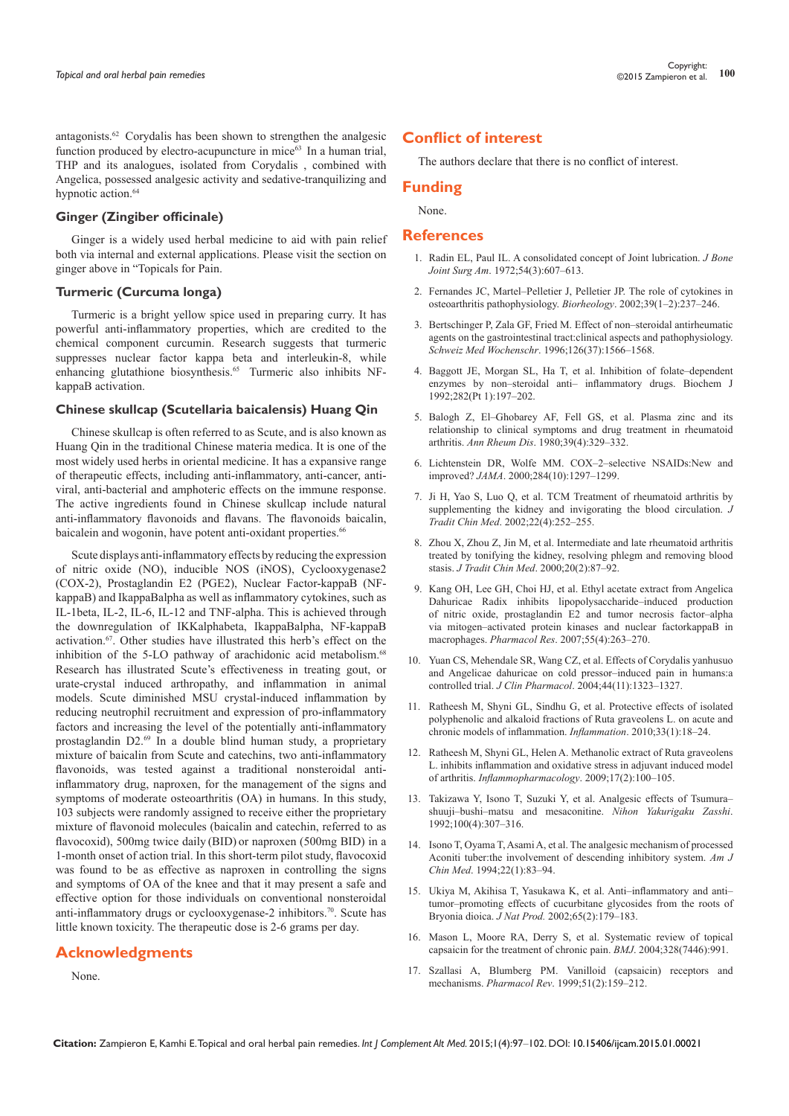antagonists.62 Corydalis has been shown to strengthen the analgesic function produced by electro-acupuncture in mice<sup>63</sup> In a human trial, THP and its analogues, isolated from Corydalis , combined with Angelica, possessed analgesic activity and sedative-tranquilizing and hypnotic action.<sup>64</sup>

## **Ginger (Zingiber officinale)**

Ginger is a widely used herbal medicine to aid with pain relief both via internal and external applications. Please visit the section on ginger above in "Topicals for Pain.

#### **Turmeric (Curcuma longa)**

Turmeric is a bright yellow spice used in preparing curry. It has powerful anti-inflammatory properties, which are credited to the chemical component curcumin. Research suggests that turmeric suppresses nuclear factor kappa beta and interleukin-8, while enhancing glutathione biosynthesis.65 Turmeric also inhibits NFkappaB activation.

#### **Chinese skullcap (Scutellaria baicalensis) Huang Qin**

Chinese skullcap is often referred to as Scute, and is also known as Huang Qin in the traditional Chinese materia medica. It is one of the most widely used herbs in oriental medicine. It has a expansive range of therapeutic effects, including anti-inflammatory, anti-cancer, antiviral, anti-bacterial and amphoteric effects on the immune response. The active ingredients found in Chinese skullcap include natural anti-inflammatory flavonoids and flavans. The flavonoids baicalin, baicalein and wogonin, have potent anti-oxidant properties.<sup>66</sup>

Scute displays anti-inflammatory effects by reducing the expression of nitric oxide (NO), inducible NOS (iNOS), Cyclooxygenase2 (COX-2), Prostaglandin E2 (PGE2), Nuclear Factor-kappaB (NFkappaB) and IkappaBalpha as well as inflammatory cytokines, such as IL-1beta, IL-2, IL-6, IL-12 and TNF-alpha. This is achieved through the downregulation of IKKalphabeta, IkappaBalpha, NF-kappaB activation.<sup>67</sup>. Other studies have illustrated this herb's effect on the inhibition of the 5-LO pathway of arachidonic acid metabolism.<sup>68</sup> Research has illustrated Scute's effectiveness in treating gout, or urate-crystal induced arthropathy, and inflammation in animal models. Scute diminished MSU crystal-induced inflammation by reducing neutrophil recruitment and expression of pro-inflammatory factors and increasing the level of the potentially anti-inflammatory prostaglandin D2.69 In a double blind human study, a proprietary mixture of baicalin from Scute and catechins, two anti-inflammatory flavonoids, was tested against a traditional nonsteroidal antiinflammatory drug, naproxen, for the management of the signs and symptoms of moderate osteoarthritis (OA) in humans. In this study, 103 subjects were randomly assigned to receive either the proprietary mixture of flavonoid molecules (baicalin and catechin, referred to as flavocoxid), 500mg twice daily (BID) or naproxen (500mg BID) in a 1-month onset of action trial. In this short-term pilot study, flavocoxid was found to be as effective as naproxen in controlling the signs and symptoms of OA of the knee and that it may present a safe and effective option for those individuals on conventional nonsteroidal anti-inflammatory drugs or cyclooxygenase-2 inhibitors.<sup>70</sup>. Scute has little known toxicity. The therapeutic dose is 2-6 grams per day.

## **Acknowledgments**

None.

## **Conflict of interest**

The authors declare that there is no conflict of interest.

# **Funding**

None.

#### **References**

- 1. [Radin EL, Paul IL. A consolidated concept of Joint lubrication.](http://www.ncbi.nlm.nih.gov/pubmed/5055157) *J Bone Joint Surg Am*[. 1972;54\(3\):607–613.](http://www.ncbi.nlm.nih.gov/pubmed/5055157)
- 2. [Fernandes JC, Martel–Pelletier J, Pelletier JP. The role of cytokines in](http://www.ncbi.nlm.nih.gov/pubmed/12082286)  [osteoarthritis pathophysiology.](http://www.ncbi.nlm.nih.gov/pubmed/12082286) *Biorheology*. 2002;39(1–2):237–246.
- 3. [Bertschinger P, Zala GF, Fried M. Effect of non–steroidal antirheumatic](http://www.ncbi.nlm.nih.gov/pubmed/8927960)  [agents on the gastrointestinal tract:clinical aspects and pathophysiology.](http://www.ncbi.nlm.nih.gov/pubmed/8927960)  *Schweiz Med Wochenschr*[. 1996;126\(37\):1566–1568.](http://www.ncbi.nlm.nih.gov/pubmed/8927960)
- 4. [Baggott JE, Morgan SL, Ha T, et al. Inhibition of folate–dependent](http://www.ncbi.nlm.nih.gov/pubmed/1540135)  [enzymes by non–steroidal anti– inflammatory drugs. Biochem J](http://www.ncbi.nlm.nih.gov/pubmed/1540135)  [1992;282\(Pt 1\):197–202.](http://www.ncbi.nlm.nih.gov/pubmed/1540135)
- 5. [Balogh Z, El–Ghobarey AF, Fell GS, et al. Plasma zinc and its](http://www.ncbi.nlm.nih.gov/pubmed/7436558)  [relationship to clinical symptoms and drug treatment in rheumatoid](http://www.ncbi.nlm.nih.gov/pubmed/7436558)  arthritis. *Ann Rheum Dis*[. 1980;39\(4\):329–332.](http://www.ncbi.nlm.nih.gov/pubmed/7436558)
- 6. [Lichtenstein DR, Wolfe MM. COX–2–selective NSAIDs:New and](http://www.ncbi.nlm.nih.gov/pubmed/10980759)  improved? *JAMA*[. 2000;284\(10\):1297–1299.](http://www.ncbi.nlm.nih.gov/pubmed/10980759)
- 7. [Ji H, Yao S, Luo Q, et al. TCM Treatment of rheumatoid arthritis by](http://www.ncbi.nlm.nih.gov/pubmed/16579083)  [supplementing the kidney and invigorating the blood circulation.](http://www.ncbi.nlm.nih.gov/pubmed/16579083) *J Tradit Chin Med*[. 2002;22\(4\):252–255.](http://www.ncbi.nlm.nih.gov/pubmed/16579083)
- 8. [Zhou X, Zhou Z, Jin M, et al. Intermediate and late rheumatoid arthritis](http://www.ncbi.nlm.nih.gov/pubmed/11038992)  [treated by tonifying the kidney, resolving phlegm and removing blood](http://www.ncbi.nlm.nih.gov/pubmed/11038992)  stasis. *J Tradit Chin Med*[. 2000;20\(2\):87–92.](http://www.ncbi.nlm.nih.gov/pubmed/11038992)
- 9. [Kang OH, Lee GH, Choi HJ, et al. Ethyl acetate extract from Angelica](http://www.ncbi.nlm.nih.gov/pubmed/17229575)  [Dahuricae Radix inhibits lipopolysaccharide–induced production](http://www.ncbi.nlm.nih.gov/pubmed/17229575)  [of nitric oxide, prostaglandin E2 and tumor necrosis factor–alpha](http://www.ncbi.nlm.nih.gov/pubmed/17229575)  [via mitogen–activated protein kinases and nuclear factorkappaB in](http://www.ncbi.nlm.nih.gov/pubmed/17229575)  macrophages. *Pharmacol Res*[. 2007;55\(4\):263–270.](http://www.ncbi.nlm.nih.gov/pubmed/17229575)
- 10. [Yuan CS, Mehendale SR, Wang CZ, et al. Effects of Corydalis yanhusuo](http://www.ncbi.nlm.nih.gov/pubmed/15496650)  [and Angelicae dahuricae on cold pressor–induced pain in humans:a](http://www.ncbi.nlm.nih.gov/pubmed/15496650)  controlled trial. *J Clin Pharmacol*[. 2004;44\(11\):1323–1327.](http://www.ncbi.nlm.nih.gov/pubmed/15496650)
- 11. [Ratheesh M, Shyni GL, Sindhu G, et al. Protective effects of isolated](http://www.ncbi.nlm.nih.gov/pubmed/19777330)  [polyphenolic and alkaloid fractions of Ruta graveolens L. on acute and](http://www.ncbi.nlm.nih.gov/pubmed/19777330)  [chronic models of inflammation.](http://www.ncbi.nlm.nih.gov/pubmed/19777330) *Inflammation*. 2010;33(1):18–24.
- 12. [Ratheesh M, Shyni GL, Helen A. Methanolic extract of Ruta graveolens](http://www.ncbi.nlm.nih.gov/pubmed/19205849)  [L. inhibits inflammation and oxidative stress in adjuvant induced model](http://www.ncbi.nlm.nih.gov/pubmed/19205849)  of arthritis. *[Inflammopharmacology](http://www.ncbi.nlm.nih.gov/pubmed/19205849)*. 2009;17(2):100–105.
- 13. [Takizawa Y, Isono T, Suzuki Y, et al. Analgesic effects of Tsumura–](http://www.ncbi.nlm.nih.gov/pubmed/1446881) [shuuji–bushi–matsu and mesaconitine.](http://www.ncbi.nlm.nih.gov/pubmed/1446881) *Nihon Yakurigaku Zasshi*. [1992;100\(4\):307–316.](http://www.ncbi.nlm.nih.gov/pubmed/1446881)
- 14. [Isono T, Oyama T, Asami A, et al. The analgesic mechanism of processed](http://www.ncbi.nlm.nih.gov/pubmed/8030622)  [Aconiti tuber:the involvement of descending inhibitory system.](http://www.ncbi.nlm.nih.gov/pubmed/8030622) *Am J Chin Med*[. 1994;22\(1\):83–94.](http://www.ncbi.nlm.nih.gov/pubmed/8030622)
- 15. [Ukiya M, Akihisa T, Yasukawa K, et al. Anti–inflammatory and anti–](http://www.ncbi.nlm.nih.gov/pubmed/11858752) [tumor–promoting effects of cucurbitane glycosides from the roots of](http://www.ncbi.nlm.nih.gov/pubmed/11858752)  Bryonia dioica. *J Nat Prod.* [2002;65\(2\):179–183.](http://www.ncbi.nlm.nih.gov/pubmed/11858752)
- 16. [Mason L, Moore RA, Derry S, et al. Systematic review of topical](http://www.ncbi.nlm.nih.gov/pubmed/15033881)  [capsaicin for the treatment of chronic pain.](http://www.ncbi.nlm.nih.gov/pubmed/15033881) *BMJ*. 2004;328(7446):991.
- 17. [Szallasi A, Blumberg PM. Vanilloid \(capsaicin\) receptors and](http://www.ncbi.nlm.nih.gov/pubmed/10353985)  mechanisms. *Pharmacol Rev*[. 1999;51\(2\):159–212.](http://www.ncbi.nlm.nih.gov/pubmed/10353985)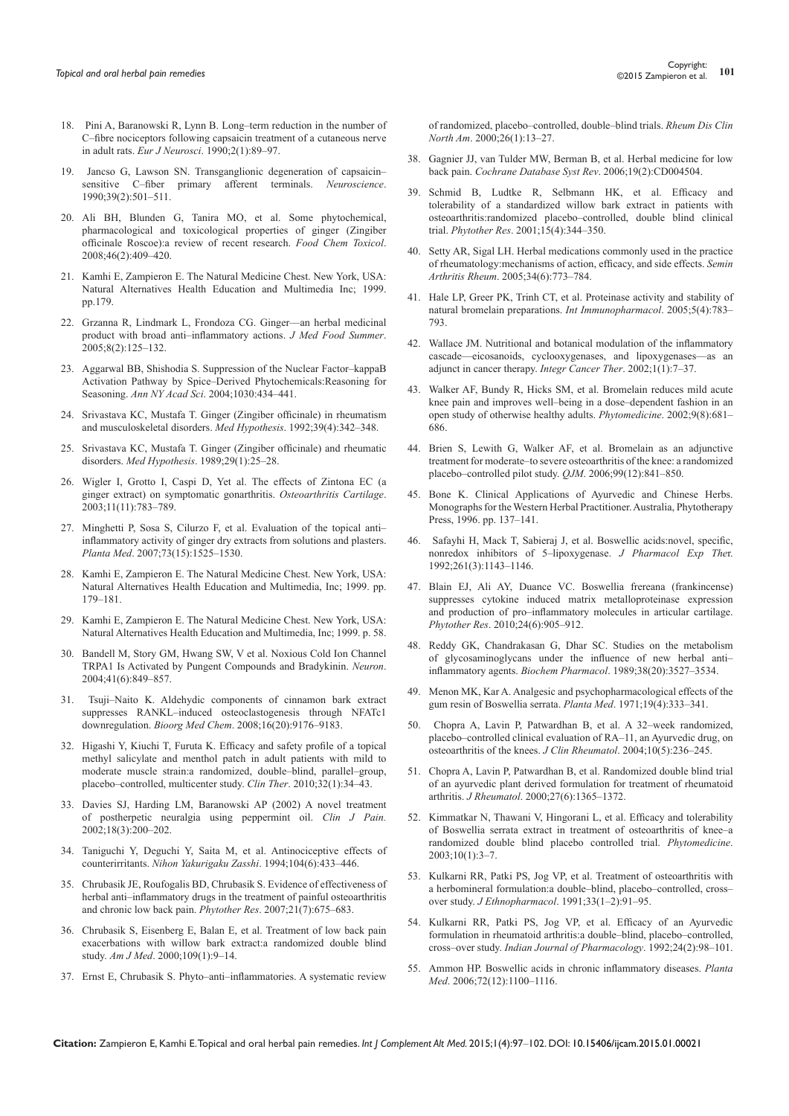- 18. [Pini A, Baranowski R, Lynn B. Long–term reduction in the number of](http://www.ncbi.nlm.nih.gov/pubmed/12106106)  [C–fibre nociceptors following capsaicin treatment of a cutaneous nerve](http://www.ncbi.nlm.nih.gov/pubmed/12106106)  in adult rats. *Eur J Neurosci*[. 1990;2\(1\):89–97.](http://www.ncbi.nlm.nih.gov/pubmed/12106106)
- 19. [Jancso G, Lawson SN. Transganglionic degeneration of capsaicin–](http://www.ncbi.nlm.nih.gov/pubmed/2087270) [sensitive C–fiber primary afferent terminals.](http://www.ncbi.nlm.nih.gov/pubmed/2087270) *Neuroscience*. [1990;39\(2\):501–511.](http://www.ncbi.nlm.nih.gov/pubmed/2087270)
- 20. Ali BH, Blunden G, Tanira MO, et al. Some phytochemical, pharmacological and toxicological properties of ginger (Zingiber officinale Roscoe):a review of recent research. *Food Chem Toxicol*. 2008;46(2):409–420.
- 21. Kamhi E, Zampieron E. The Natural Medicine Chest. New York, USA: Natural Alternatives Health Education and Multimedia Inc; 1999. pp. 179.
- 22. [Grzanna R, Lindmark L, Frondoza CG. Ginger––an herbal medicinal](http://www.ncbi.nlm.nih.gov/pubmed/16117603)  [product with broad anti–inflammatory actions.](http://www.ncbi.nlm.nih.gov/pubmed/16117603) *J Med Food Summer*. [2005;8\(2\):125–132.](http://www.ncbi.nlm.nih.gov/pubmed/16117603)
- 23. [Aggarwal BB, Shishodia S. Suppression of the Nuclear Factor–kappaB](http://www.ncbi.nlm.nih.gov/pubmed/15659827)  [Activation Pathway by Spice–Derived Phytochemicals:Reasoning for](http://www.ncbi.nlm.nih.gov/pubmed/15659827)  Seasoning. *Ann NY Acad Sci*[. 2004;1030:434–441.](http://www.ncbi.nlm.nih.gov/pubmed/15659827)
- 24. [Srivastava KC, Mustafa T. Ginger \(Zingiber officinale\) in rheumatism](http://www.ncbi.nlm.nih.gov/pubmed/1494322)  [and musculoskeletal disorders.](http://www.ncbi.nlm.nih.gov/pubmed/1494322) *Med Hypothesis*. 1992;39(4):342–348.
- 25. [Srivastava KC, Mustafa T. Ginger \(Zingiber officinale\) and rheumatic](http://www.ncbi.nlm.nih.gov/pubmed/2501634)  disorders. *Med Hypothesis*[. 1989;29\(1\):25–28.](http://www.ncbi.nlm.nih.gov/pubmed/2501634)
- 26. [Wigler I, Grotto I, Caspi D, Yet al. The effects of Zintona EC \(a](http://www.ncbi.nlm.nih.gov/pubmed/14609531)  [ginger extract\) on symptomatic gonarthritis.](http://www.ncbi.nlm.nih.gov/pubmed/14609531) *Osteoarthritis Cartilage*. [2003;11\(11\):783–789.](http://www.ncbi.nlm.nih.gov/pubmed/14609531)
- 27. [Minghetti P, Sosa S, Cilurzo F, et al. Evaluation of the topical anti–](http://www.ncbi.nlm.nih.gov/pubmed/18058610) [inflammatory activity of ginger dry extracts from solutions and plasters.](http://www.ncbi.nlm.nih.gov/pubmed/18058610)  *Planta Med*[. 2007;73\(15\):1525–1530.](http://www.ncbi.nlm.nih.gov/pubmed/18058610)
- 28. Kamhi E, Zampieron E. The Natural Medicine Chest. New York, USA: Natural Alternatives Health Education and Multimedia, Inc; 1999. pp. 179–181.
- 29. Kamhi E, Zampieron E. The Natural Medicine Chest. New York, USA: Natural Alternatives Health Education and Multimedia, Inc; 1999. p. 58.
- 30. [Bandell M, Story GM, Hwang SW, V et al. Noxious Cold Ion Channel](http://www.ncbi.nlm.nih.gov/pubmed/15046718)  [TRPA1 Is Activated by Pungent Compounds and Bradykinin.](http://www.ncbi.nlm.nih.gov/pubmed/15046718) *Neuron*. [2004;41\(6\):849–857.](http://www.ncbi.nlm.nih.gov/pubmed/15046718)
- 31. Tsuji[–Naito K. Aldehydic components of cinnamon bark extract](http://www.ncbi.nlm.nih.gov/pubmed/18823786)  [suppresses RANKL–induced osteoclastogenesis through NFATc1](http://www.ncbi.nlm.nih.gov/pubmed/18823786)  downregulation. *Bioorg Med Chem*[. 2008;16\(20\):9176–9183.](http://www.ncbi.nlm.nih.gov/pubmed/18823786)
- 32. [Higashi Y, Kiuchi T, Furuta K. Efficacy and safety profile of a topical](http://www.ncbi.nlm.nih.gov/pubmed/20171409)  [methyl salicylate and menthol patch in adult patients with mild to](http://www.ncbi.nlm.nih.gov/pubmed/20171409)  [moderate muscle strain:a randomized, double–blind, parallel–group,](http://www.ncbi.nlm.nih.gov/pubmed/20171409)  [placebo–controlled, multicenter study.](http://www.ncbi.nlm.nih.gov/pubmed/20171409) *Clin Ther*. 2010;32(1):34–43.
- 33. [Davies SJ, Harding LM, Baranowski AP \(2002\) A novel treatment](http://www.ncbi.nlm.nih.gov/pubmed/12048423)  [of postherpetic neuralgia using peppermint oil.](http://www.ncbi.nlm.nih.gov/pubmed/12048423) *Clin J Pain.* [2002;18\(3\):200–202.](http://www.ncbi.nlm.nih.gov/pubmed/12048423)
- 34. [Taniguchi Y, Deguchi Y, Saita M, et al. Antinociceptive effects of](http://www.ncbi.nlm.nih.gov/pubmed/7851817)  counterirritants. *[Nihon Yakurigaku Zasshi](http://www.ncbi.nlm.nih.gov/pubmed/7851817)*. 1994;104(6):433–446.
- 35. [Chrubasik JE, Roufogalis BD, Chrubasik S. Evidence of effectiveness of](http://www.ncbi.nlm.nih.gov/pubmed/17444576)  [herbal anti–inflammatory drugs in the treatment of painful osteoarthritis](http://www.ncbi.nlm.nih.gov/pubmed/17444576)  [and chronic low back pain.](http://www.ncbi.nlm.nih.gov/pubmed/17444576) *Phytother Res*. 2007;21(7):675–683.
- 36. [Chrubasik S, Eisenberg E, Balan E, et al. Treatment of low back pain](http://www.ncbi.nlm.nih.gov/pubmed/10936472)  [exacerbations with willow bark extract:a randomized double blind](http://www.ncbi.nlm.nih.gov/pubmed/10936472)  study. *Am J Med*[. 2000;109\(1\):9–14.](http://www.ncbi.nlm.nih.gov/pubmed/10936472)
- 37. [Ernst E, Chrubasik S. Phyto–anti–inflammatories. A systematic review](http://www.ncbi.nlm.nih.gov/pubmed/10680191)

[of randomized, placebo–controlled, double–blind trials.](http://www.ncbi.nlm.nih.gov/pubmed/10680191) *Rheum Dis Clin North Am*[. 2000;26\(1\):13–27.](http://www.ncbi.nlm.nih.gov/pubmed/10680191)

- 38. [Gagnier JJ, van Tulder MW, Berman B, et al. Herbal medicine for low](http://www.ncbi.nlm.nih.gov/pubmed/16625605)  back pain. *[Cochrane Database Syst Rev](http://www.ncbi.nlm.nih.gov/pubmed/16625605)*. 2006;19(2):CD004504.
- 39. [Schmid B, Ludtke R, Selbmann HK, et al. Efficacy and](http://www.ncbi.nlm.nih.gov/pubmed/11406860)  [tolerability of a standardized willow bark extract in patients with](http://www.ncbi.nlm.nih.gov/pubmed/11406860)  [osteoarthritis:randomized placebo–controlled, double blind clinical](http://www.ncbi.nlm.nih.gov/pubmed/11406860)  trial. *Phytother Res*[. 2001;15\(4\):344–350.](http://www.ncbi.nlm.nih.gov/pubmed/11406860)
- 40. [Setty AR, Sigal LH. Herbal medications commonly used in the practice](http://www.ncbi.nlm.nih.gov/pubmed/15942912)  [of rheumatology:mechanisms of action, efficacy, and side effects.](http://www.ncbi.nlm.nih.gov/pubmed/15942912) *Semin Arthritis Rheum*[. 2005;34\(6\):773–784.](http://www.ncbi.nlm.nih.gov/pubmed/15942912)
- 41. [Hale LP, Greer PK, Trinh CT, et al. Proteinase activity and stability of](http://www.ncbi.nlm.nih.gov/pubmed/15710346)  [natural bromelain preparations.](http://www.ncbi.nlm.nih.gov/pubmed/15710346) *Int Immunopharmacol*. 2005;5(4):783– [793.](http://www.ncbi.nlm.nih.gov/pubmed/15710346)
- 42. [Wallace JM. Nutritional and botanical modulation of the inflammatory](http://www.ncbi.nlm.nih.gov/pubmed/14664746)  [cascade––eicosanoids, cyclooxygenases, and lipoxygenases––as an](http://www.ncbi.nlm.nih.gov/pubmed/14664746)  [adjunct in cancer therapy.](http://www.ncbi.nlm.nih.gov/pubmed/14664746) *Integr Cancer Ther*. 2002;1(1):7–37.
- 43. [Walker AF, Bundy R, Hicks SM, et al. Bromelain reduces mild acute](http://www.ncbi.nlm.nih.gov/pubmed/12587686)  [knee pain and improves well–being in a dose–dependent fashion in an](http://www.ncbi.nlm.nih.gov/pubmed/12587686)  [open study of otherwise healthy adults.](http://www.ncbi.nlm.nih.gov/pubmed/12587686) *Phytomedicine*. 2002;9(8):681– [686.](http://www.ncbi.nlm.nih.gov/pubmed/12587686)
- 44. [Brien S, Lewith G, Walker AF, et al. Bromelain as an adjunctive](http://www.ncbi.nlm.nih.gov/pubmed/17121765)  [treatment for moderate–to severe osteoarthritis of the knee: a randomized](http://www.ncbi.nlm.nih.gov/pubmed/17121765)  [placebo–controlled pilot study.](http://www.ncbi.nlm.nih.gov/pubmed/17121765) *QJM*. 2006;99(12):841–850.
- 45. [Bone K. Clinical Applications of Ayurvedic and Chinese Herbs.](http://www.herbaleducation.com.au/publications/AyurvedicChinese.html)  [Monographs for the Western Herbal Practitioner. Australia, Phytotherapy](http://www.herbaleducation.com.au/publications/AyurvedicChinese.html)  [Press, 1996. pp. 137–141.](http://www.herbaleducation.com.au/publications/AyurvedicChinese.html)
- 46. [Safayhi H, Mack T, Sabieraj J, et al. Boswellic acids:novel, specific,](http://www.ncbi.nlm.nih.gov/pubmed/1602379)  [nonredox inhibitors of 5–lipoxygenase.](http://www.ncbi.nlm.nih.gov/pubmed/1602379) *J Pharmacol Exp The*r. [1992;261\(3\):1143–1146.](http://www.ncbi.nlm.nih.gov/pubmed/1602379)
- 47. [Blain EJ, Ali AY, Duance VC. Boswellia frereana \(frankincense\)](http://www.ncbi.nlm.nih.gov/pubmed/19943332)  [suppresses cytokine induced matrix metalloproteinase expression](http://www.ncbi.nlm.nih.gov/pubmed/19943332)  [and production of pro–inflammatory molecules in articular cartilage.](http://www.ncbi.nlm.nih.gov/pubmed/19943332)  *Phytother Res*[. 2010;24\(6\):905–912.](http://www.ncbi.nlm.nih.gov/pubmed/19943332)
- 48. [Reddy GK, Chandrakasan G, Dhar SC. Studies on the metabolism](http://www.ncbi.nlm.nih.gov/pubmed/2818645)  [of glycosaminoglycans under the influence of new herbal anti–](http://www.ncbi.nlm.nih.gov/pubmed/2818645) inflammatory agents. *Biochem Pharmacol*[. 1989;38\(20\):3527–3534.](http://www.ncbi.nlm.nih.gov/pubmed/2818645)
- 49. [Menon MK, Kar A. Analgesic and psychopharmacological effects of the](http://www.ncbi.nlm.nih.gov/pubmed/5573545)  [gum resin of Boswellia serrata.](http://www.ncbi.nlm.nih.gov/pubmed/5573545) *Planta Med*. 1971;19(4):333–341.
- 50. [Chopra A, Lavin P, Patwardhan B, et al. A 32–week randomized,](http://www.ncbi.nlm.nih.gov/pubmed/17043520)  [placebo–controlled clinical evaluation of RA–11, an Ayurvedic drug, on](http://www.ncbi.nlm.nih.gov/pubmed/17043520)  [osteoarthritis of the knees.](http://www.ncbi.nlm.nih.gov/pubmed/17043520) *J Clin Rheumatol*. 2004;10(5):236–245.
- 51. [Chopra A, Lavin P, Patwardhan B, et al. Randomized double blind trial](http://www.ncbi.nlm.nih.gov/pubmed/10852255)  [of an ayurvedic plant derived formulation for treatment of rheumatoid](http://www.ncbi.nlm.nih.gov/pubmed/10852255)  arthritis. *J Rheumatol*[. 2000;27\(6\):1365–1372.](http://www.ncbi.nlm.nih.gov/pubmed/10852255)
- 52. [Kimmatkar N, Thawani V, Hingorani L, et al. Efficacy and tolerability](http://www.ncbi.nlm.nih.gov/pubmed/12622457)  [of Boswellia serrata extract in treatment of osteoarthritis of knee–a](http://www.ncbi.nlm.nih.gov/pubmed/12622457)  [randomized double blind placebo controlled trial.](http://www.ncbi.nlm.nih.gov/pubmed/12622457) *Phytomedicine*. [2003;10\(1\):3–7.](http://www.ncbi.nlm.nih.gov/pubmed/12622457)
- 53. [Kulkarni RR, Patki PS, Jog VP, et al. Treatment of osteoarthritis with](http://www.ncbi.nlm.nih.gov/pubmed/1943180)  [a herbomineral formulation:a double–blind, placebo–controlled, cross–](http://www.ncbi.nlm.nih.gov/pubmed/1943180) over study. *J Ethnopharmacol*[. 1991;33\(1–2\):91–95.](http://www.ncbi.nlm.nih.gov/pubmed/1943180)
- 54. [Kulkarni RR, Patki PS, Jog VP, et al. Efficacy of an Ayurvedic](http://www.ijp-online.com/article.asp?issn=0253-7613;year=1992;volume=24;issue=2;spage=98;epage=101;aulast=Kulkarni;type=0)  [formulation in rheumatoid arthritis:a double–blind, placebo–controlled,](http://www.ijp-online.com/article.asp?issn=0253-7613;year=1992;volume=24;issue=2;spage=98;epage=101;aulast=Kulkarni;type=0)  cross–over study. *[Indian Journal of Pharmacology](http://www.ijp-online.com/article.asp?issn=0253-7613;year=1992;volume=24;issue=2;spage=98;epage=101;aulast=Kulkarni;type=0)*. 1992;24(2):98–101.
- 55. [Ammon HP. Boswellic acids in chronic inflammatory diseases.](http://www.ncbi.nlm.nih.gov/pubmed/17024588) *Planta Med*[. 2006;72\(12\):1100–1116.](http://www.ncbi.nlm.nih.gov/pubmed/17024588)